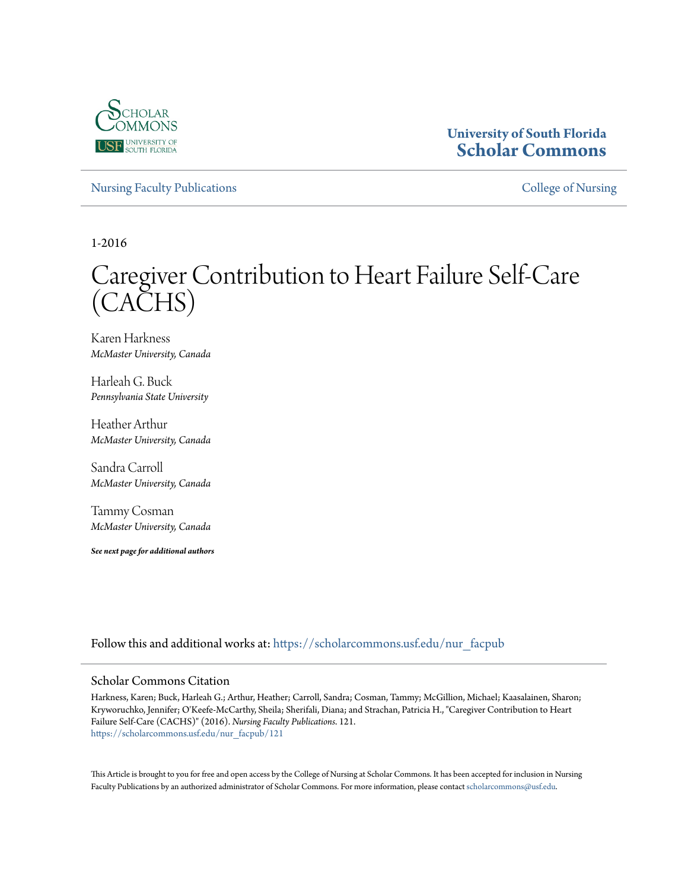

# **University of South Florida [Scholar Commons](https://scholarcommons.usf.edu?utm_source=scholarcommons.usf.edu%2Fnur_facpub%2F121&utm_medium=PDF&utm_campaign=PDFCoverPages)**

[Nursing Faculty Publications](https://scholarcommons.usf.edu/nur_facpub?utm_source=scholarcommons.usf.edu%2Fnur_facpub%2F121&utm_medium=PDF&utm_campaign=PDFCoverPages) **[College of Nursing](https://scholarcommons.usf.edu/nur?utm_source=scholarcommons.usf.edu%2Fnur_facpub%2F121&utm_medium=PDF&utm_campaign=PDFCoverPages)** 

1-2016



Karen Harkness *McMaster University, Canada*

Harleah G. Buck *Pennsylvania State University*

Heather Arthur *McMaster University, Canada*

Sandra Carroll *McMaster University, Canada*

Tammy Cosman *McMaster University, Canada*

*See next page for additional authors*

Follow this and additional works at: [https://scholarcommons.usf.edu/nur\\_facpub](https://scholarcommons.usf.edu/nur_facpub?utm_source=scholarcommons.usf.edu%2Fnur_facpub%2F121&utm_medium=PDF&utm_campaign=PDFCoverPages)

# Scholar Commons Citation

Harkness, Karen; Buck, Harleah G.; Arthur, Heather; Carroll, Sandra; Cosman, Tammy; McGillion, Michael; Kaasalainen, Sharon; Kryworuchko, Jennifer; O'Keefe-McCarthy, Sheila; Sherifali, Diana; and Strachan, Patricia H., "Caregiver Contribution to Heart Failure Self-Care (CACHS)" (2016). *Nursing Faculty Publications*. 121. [https://scholarcommons.usf.edu/nur\\_facpub/121](https://scholarcommons.usf.edu/nur_facpub/121?utm_source=scholarcommons.usf.edu%2Fnur_facpub%2F121&utm_medium=PDF&utm_campaign=PDFCoverPages)

This Article is brought to you for free and open access by the College of Nursing at Scholar Commons. It has been accepted for inclusion in Nursing Faculty Publications by an authorized administrator of Scholar Commons. For more information, please contact [scholarcommons@usf.edu.](mailto:scholarcommons@usf.edu)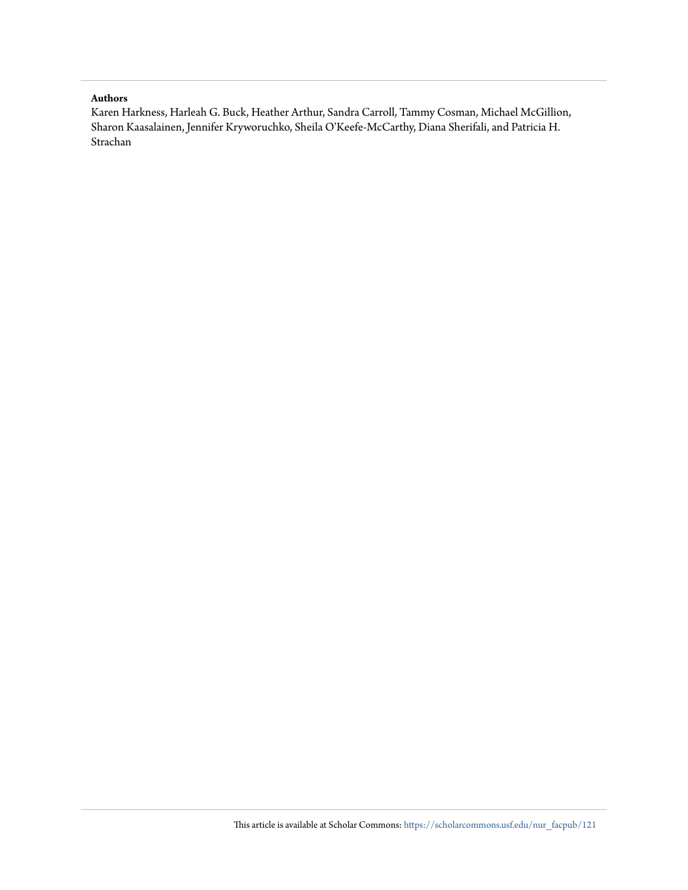#### **Authors**

Karen Harkness, Harleah G. Buck, Heather Arthur, Sandra Carroll, Tammy Cosman, Michael McGillion, Sharon Kaasalainen, Jennifer Kryworuchko, Sheila O'Keefe-McCarthy, Diana Sherifali, and Patricia H. Strachan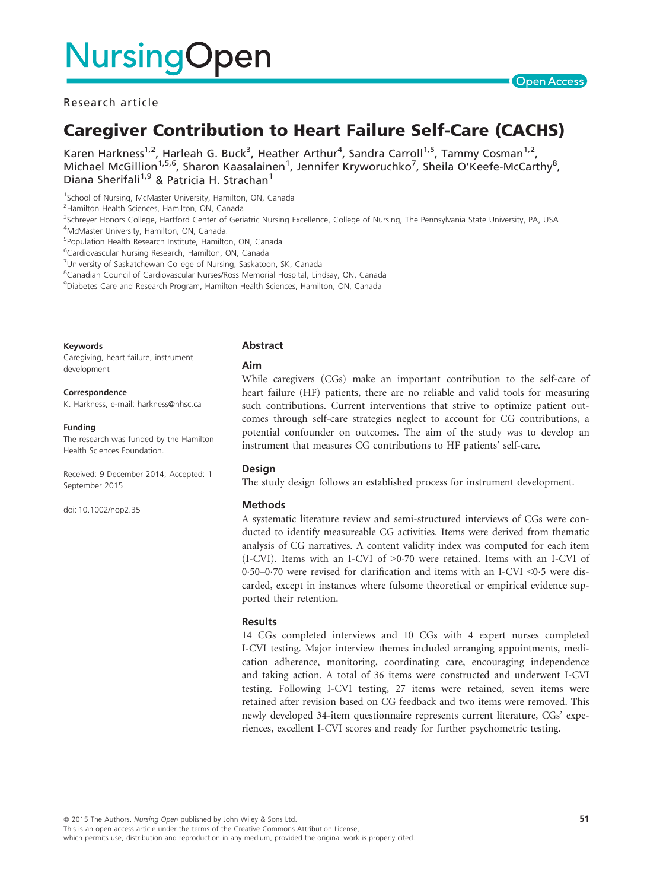# **NursingOpen**

# Research article

# Caregiver Contribution to Heart Failure Self-Care (CACHS)

Karen Harkness<sup>1,2</sup>, Harleah G. Buck<sup>3</sup>, Heather Arthur<sup>4</sup>, Sandra Carroll<sup>1,5</sup>, Tammy Cosman<sup>1,2</sup>, Michael McGillion<sup>1,5,6</sup>, Sharon Kaasalainen<sup>1</sup>, Jennifer Kryworuchko<sup>7</sup>, Sheila O'Keefe-McCarthy<sup>8</sup>, Diana Sherifali<sup>1,9</sup> & Patricia H. Strachan<sup>1</sup>

<sup>1</sup>School of Nursing, McMaster University, Hamilton, ON, Canada

4 McMaster University, Hamilton, ON, Canada.

5 Population Health Research Institute, Hamilton, ON, Canada

6 Cardiovascular Nursing Research, Hamilton, ON, Canada

<sup>7</sup>University of Saskatchewan College of Nursing, Saskatoon, SK, Canada

<sup>8</sup>Canadian Council of Cardiovascular Nurses/Ross Memorial Hospital, Lindsay, ON, Canada

9 Diabetes Care and Research Program, Hamilton Health Sciences, Hamilton, ON, Canada

#### Keywords

Caregiving, heart failure, instrument development

Correspondence K. Harkness, e-mail: harkness@hhsc.ca

#### Funding

The research was funded by the Hamilton Health Sciences Foundation.

Received: 9 December 2014; Accepted: 1 September 2015

doi: 10.1002/nop2.35

#### Abstract

#### Aim

While caregivers (CGs) make an important contribution to the self-care of heart failure (HF) patients, there are no reliable and valid tools for measuring such contributions. Current interventions that strive to optimize patient outcomes through self-care strategies neglect to account for CG contributions, a potential confounder on outcomes. The aim of the study was to develop an instrument that measures CG contributions to HF patients' self-care.

#### Design

The study design follows an established process for instrument development.

#### Methods

A systematic literature review and semi-structured interviews of CGs were conducted to identify measureable CG activities. Items were derived from thematic analysis of CG narratives. A content validity index was computed for each item (I-CVI). Items with an I-CVI of  $>0.70$  were retained. Items with an I-CVI of 0.50–0.70 were revised for clarification and items with an I-CVI <0.5 were discarded, except in instances where fulsome theoretical or empirical evidence supported their retention.

#### Results

14 CGs completed interviews and 10 CGs with 4 expert nurses completed I-CVI testing. Major interview themes included arranging appointments, medication adherence, monitoring, coordinating care, encouraging independence and taking action. A total of 36 items were constructed and underwent I-CVI testing. Following I-CVI testing, 27 items were retained, seven items were retained after revision based on CG feedback and two items were removed. This newly developed 34-item questionnaire represents current literature, CGs' experiences, excellent I-CVI scores and ready for further psychometric testing.

<sup>&</sup>lt;sup>2</sup>Hamilton Health Sciences, Hamilton, ON, Canada

<sup>&</sup>lt;sup>3</sup>Schreyer Honors College, Hartford Center of Geriatric Nursing Excellence, College of Nursing, The Pennsylvania State University, PA, USA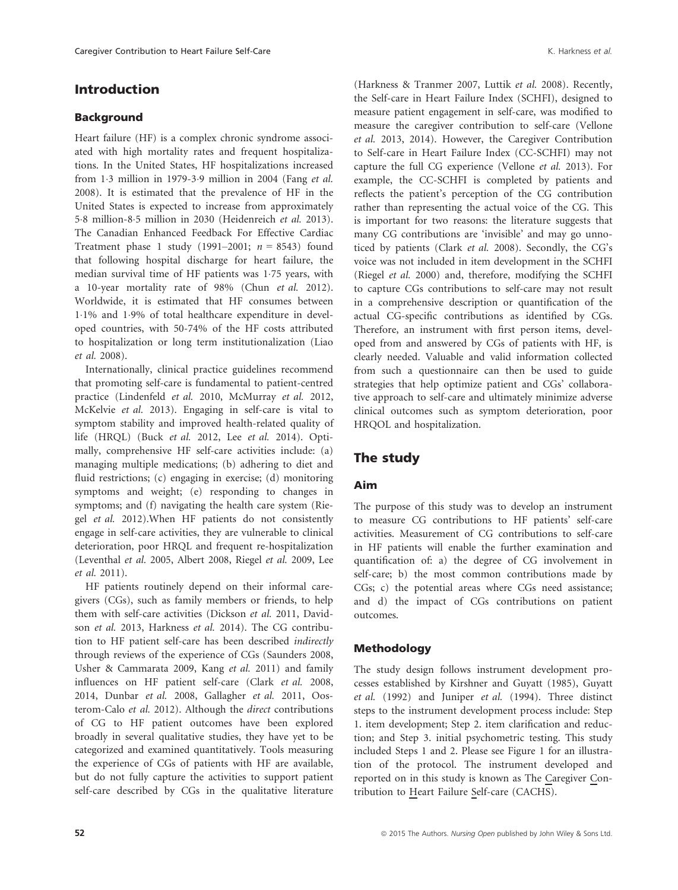# Introduction

# Background

Heart failure (HF) is a complex chronic syndrome associated with high mortality rates and frequent hospitalizations. In the United States, HF hospitalizations increased from  $1.3$  million in 1979-3.9 million in 2004 (Fang et al. 2008). It is estimated that the prevalence of HF in the United States is expected to increase from approximately 5.8 million-8.5 million in 2030 (Heidenreich et al. 2013). The Canadian Enhanced Feedback For Effective Cardiac Treatment phase 1 study (1991–2001;  $n = 8543$ ) found that following hospital discharge for heart failure, the median survival time of HF patients was 1.75 years, with a 10-year mortality rate of 98% (Chun et al. 2012). Worldwide, it is estimated that HF consumes between 1.1% and 1.9% of total healthcare expenditure in developed countries, with 50-74% of the HF costs attributed to hospitalization or long term institutionalization (Liao et al. 2008).

Internationally, clinical practice guidelines recommend that promoting self-care is fundamental to patient-centred practice (Lindenfeld et al. 2010, McMurray et al. 2012, McKelvie et al. 2013). Engaging in self-care is vital to symptom stability and improved health-related quality of life (HRQL) (Buck et al. 2012, Lee et al. 2014). Optimally, comprehensive HF self-care activities include: (a) managing multiple medications; (b) adhering to diet and fluid restrictions; (c) engaging in exercise; (d) monitoring symptoms and weight; (e) responding to changes in symptoms; and (f) navigating the health care system (Riegel et al. 2012).When HF patients do not consistently engage in self-care activities, they are vulnerable to clinical deterioration, poor HRQL and frequent re-hospitalization (Leventhal et al. 2005, Albert 2008, Riegel et al. 2009, Lee et al. 2011).

HF patients routinely depend on their informal caregivers (CGs), such as family members or friends, to help them with self-care activities (Dickson et al. 2011, Davidson et al. 2013, Harkness et al. 2014). The CG contribution to HF patient self-care has been described indirectly through reviews of the experience of CGs (Saunders 2008, Usher & Cammarata 2009, Kang et al. 2011) and family influences on HF patient self-care (Clark et al. 2008, 2014, Dunbar et al. 2008, Gallagher et al. 2011, Oosterom-Calo et al. 2012). Although the direct contributions of CG to HF patient outcomes have been explored broadly in several qualitative studies, they have yet to be categorized and examined quantitatively. Tools measuring the experience of CGs of patients with HF are available, but do not fully capture the activities to support patient self-care described by CGs in the qualitative literature (Harkness & Tranmer 2007, Luttik et al. 2008). Recently, the Self-care in Heart Failure Index (SCHFI), designed to measure patient engagement in self-care, was modified to measure the caregiver contribution to self-care (Vellone et al. 2013, 2014). However, the Caregiver Contribution to Self-care in Heart Failure Index (CC-SCHFI) may not capture the full CG experience (Vellone et al. 2013). For example, the CC-SCHFI is completed by patients and reflects the patient's perception of the CG contribution rather than representing the actual voice of the CG. This is important for two reasons: the literature suggests that many CG contributions are 'invisible' and may go unnoticed by patients (Clark et al. 2008). Secondly, the CG's voice was not included in item development in the SCHFI (Riegel et al. 2000) and, therefore, modifying the SCHFI to capture CGs contributions to self-care may not result in a comprehensive description or quantification of the actual CG-specific contributions as identified by CGs. Therefore, an instrument with first person items, developed from and answered by CGs of patients with HF, is clearly needed. Valuable and valid information collected from such a questionnaire can then be used to guide strategies that help optimize patient and CGs' collaborative approach to self-care and ultimately minimize adverse clinical outcomes such as symptom deterioration, poor HRQOL and hospitalization.

# The study

# Aim

The purpose of this study was to develop an instrument to measure CG contributions to HF patients' self-care activities. Measurement of CG contributions to self-care in HF patients will enable the further examination and quantification of: a) the degree of CG involvement in self-care; b) the most common contributions made by CGs; c) the potential areas where CGs need assistance; and d) the impact of CGs contributions on patient outcomes.

# Methodology

The study design follows instrument development processes established by Kirshner and Guyatt (1985), Guyatt et al. (1992) and Juniper et al. (1994). Three distinct steps to the instrument development process include: Step 1. item development; Step 2. item clarification and reduction; and Step 3. initial psychometric testing. This study included Steps 1 and 2. Please see Figure 1 for an illustration of the protocol. The instrument developed and reported on in this study is known as The Caregiver Contribution to Heart Failure Self-care (CACHS).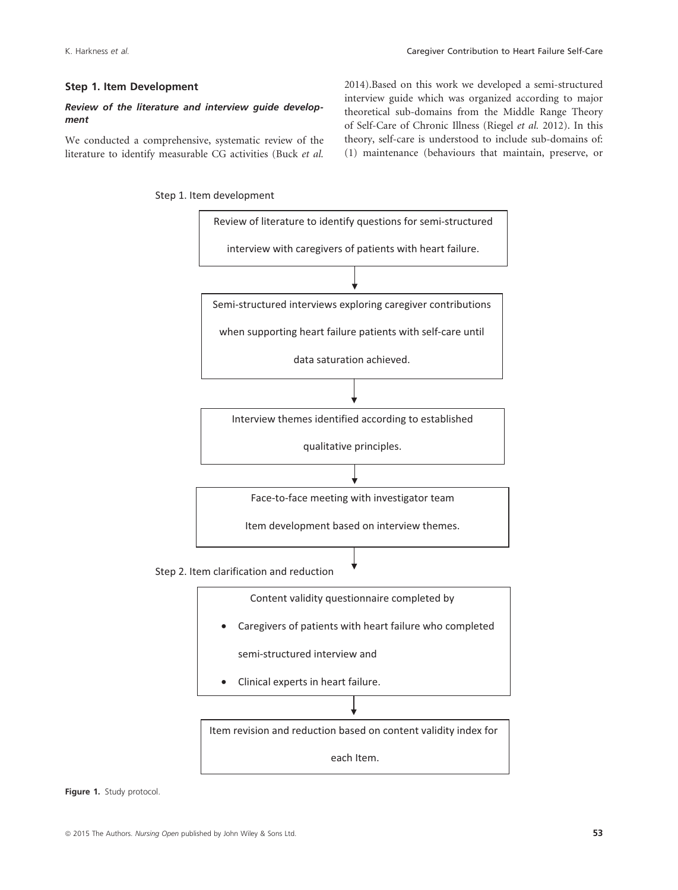#### Step 1. Item Development

## Review of the literature and interview guide development

We conducted a comprehensive, systematic review of the literature to identify measurable CG activities (Buck et al.

2014).Based on this work we developed a semi-structured interview guide which was organized according to major theoretical sub-domains from the Middle Range Theory of Self-Care of Chronic Illness (Riegel et al. 2012). In this theory, self-care is understood to include sub-domains of: (1) maintenance (behaviours that maintain, preserve, or





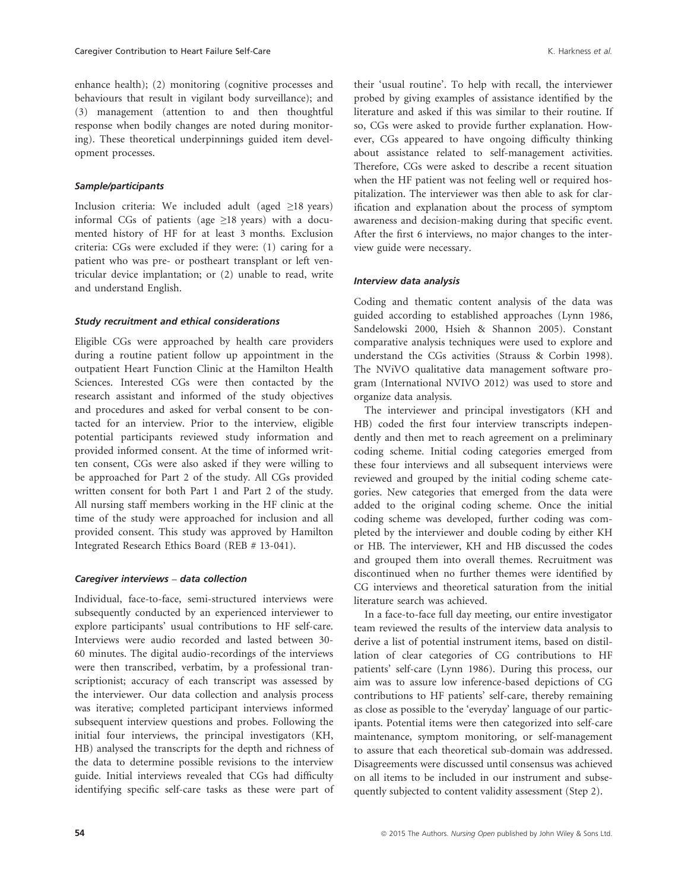enhance health); (2) monitoring (cognitive processes and behaviours that result in vigilant body surveillance); and (3) management (attention to and then thoughtful response when bodily changes are noted during monitoring). These theoretical underpinnings guided item development processes.

#### Sample/participants

Inclusion criteria: We included adult (aged  $\geq$ 18 years) informal CGs of patients (age  $\geq$ 18 years) with a documented history of HF for at least 3 months. Exclusion criteria: CGs were excluded if they were: (1) caring for a patient who was pre- or postheart transplant or left ventricular device implantation; or (2) unable to read, write and understand English.

#### Study recruitment and ethical considerations

Eligible CGs were approached by health care providers during a routine patient follow up appointment in the outpatient Heart Function Clinic at the Hamilton Health Sciences. Interested CGs were then contacted by the research assistant and informed of the study objectives and procedures and asked for verbal consent to be contacted for an interview. Prior to the interview, eligible potential participants reviewed study information and provided informed consent. At the time of informed written consent, CGs were also asked if they were willing to be approached for Part 2 of the study. All CGs provided written consent for both Part 1 and Part 2 of the study. All nursing staff members working in the HF clinic at the time of the study were approached for inclusion and all provided consent. This study was approved by Hamilton Integrated Research Ethics Board (REB # 13-041).

#### Caregiver interviews – data collection

Individual, face-to-face, semi-structured interviews were subsequently conducted by an experienced interviewer to explore participants' usual contributions to HF self-care. Interviews were audio recorded and lasted between 30- 60 minutes. The digital audio-recordings of the interviews were then transcribed, verbatim, by a professional transcriptionist; accuracy of each transcript was assessed by the interviewer. Our data collection and analysis process was iterative; completed participant interviews informed subsequent interview questions and probes. Following the initial four interviews, the principal investigators (KH, HB) analysed the transcripts for the depth and richness of the data to determine possible revisions to the interview guide. Initial interviews revealed that CGs had difficulty identifying specific self-care tasks as these were part of their 'usual routine'. To help with recall, the interviewer probed by giving examples of assistance identified by the literature and asked if this was similar to their routine. If so, CGs were asked to provide further explanation. However, CGs appeared to have ongoing difficulty thinking about assistance related to self-management activities. Therefore, CGs were asked to describe a recent situation when the HF patient was not feeling well or required hospitalization. The interviewer was then able to ask for clarification and explanation about the process of symptom awareness and decision-making during that specific event. After the first 6 interviews, no major changes to the interview guide were necessary.

#### Interview data analysis

Coding and thematic content analysis of the data was guided according to established approaches (Lynn 1986, Sandelowski 2000, Hsieh & Shannon 2005). Constant comparative analysis techniques were used to explore and understand the CGs activities (Strauss & Corbin 1998). The NViVO qualitative data management software program (International NVIVO 2012) was used to store and organize data analysis.

The interviewer and principal investigators (KH and HB) coded the first four interview transcripts independently and then met to reach agreement on a preliminary coding scheme. Initial coding categories emerged from these four interviews and all subsequent interviews were reviewed and grouped by the initial coding scheme categories. New categories that emerged from the data were added to the original coding scheme. Once the initial coding scheme was developed, further coding was completed by the interviewer and double coding by either KH or HB. The interviewer, KH and HB discussed the codes and grouped them into overall themes. Recruitment was discontinued when no further themes were identified by CG interviews and theoretical saturation from the initial literature search was achieved.

In a face-to-face full day meeting, our entire investigator team reviewed the results of the interview data analysis to derive a list of potential instrument items, based on distillation of clear categories of CG contributions to HF patients' self-care (Lynn 1986). During this process, our aim was to assure low inference-based depictions of CG contributions to HF patients' self-care, thereby remaining as close as possible to the 'everyday' language of our participants. Potential items were then categorized into self-care maintenance, symptom monitoring, or self-management to assure that each theoretical sub-domain was addressed. Disagreements were discussed until consensus was achieved on all items to be included in our instrument and subsequently subjected to content validity assessment (Step 2).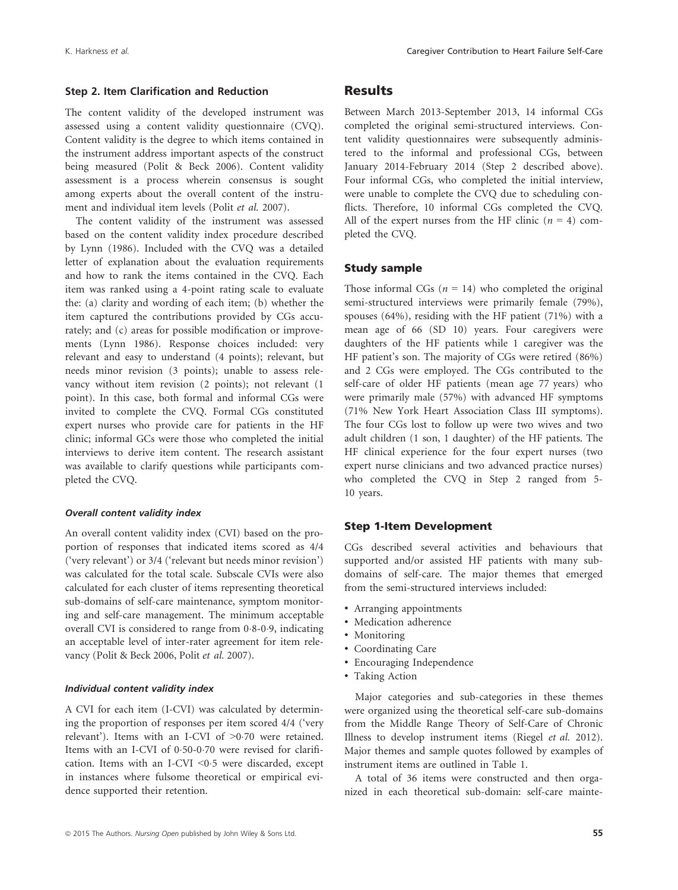#### Step 2. Item Clarification and Reduction

The content validity of the developed instrument was assessed using a content validity questionnaire (CVQ). Content validity is the degree to which items contained in the instrument address important aspects of the construct being measured (Polit & Beck 2006). Content validity assessment is a process wherein consensus is sought among experts about the overall content of the instrument and individual item levels (Polit et al. 2007).

The content validity of the instrument was assessed based on the content validity index procedure described by Lynn (1986). Included with the CVQ was a detailed letter of explanation about the evaluation requirements and how to rank the items contained in the CVQ. Each item was ranked using a 4-point rating scale to evaluate the: (a) clarity and wording of each item; (b) whether the item captured the contributions provided by CGs accurately; and (c) areas for possible modification or improvements (Lynn 1986). Response choices included: very relevant and easy to understand (4 points); relevant, but needs minor revision (3 points); unable to assess relevancy without item revision (2 points); not relevant (1 point). In this case, both formal and informal CGs were invited to complete the CVQ. Formal CGs constituted expert nurses who provide care for patients in the HF clinic; informal GCs were those who completed the initial interviews to derive item content. The research assistant was available to clarify questions while participants completed the CVQ.

#### Overall content validity index

An overall content validity index (CVI) based on the proportion of responses that indicated items scored as 4/4 ('very relevant') or 3/4 ('relevant but needs minor revision') was calculated for the total scale. Subscale CVIs were also calculated for each cluster of items representing theoretical sub-domains of self-care maintenance, symptom monitoring and self-care management. The minimum acceptable overall CVI is considered to range from  $0.8-0.9$ , indicating an acceptable level of inter-rater agreement for item relevancy (Polit & Beck 2006, Polit et al. 2007).

#### Individual content validity index

A CVI for each item (I-CVI) was calculated by determining the proportion of responses per item scored 4/4 ('very relevant'). Items with an I-CVI of  $>0.70$  were retained. Items with an I-CVI of 0.50-0.70 were revised for clarification. Items with an I-CVI < $0.5$  were discarded, except in instances where fulsome theoretical or empirical evidence supported their retention.

# Results

Between March 2013-September 2013, 14 informal CGs completed the original semi-structured interviews. Content validity questionnaires were subsequently administered to the informal and professional CGs, between January 2014-February 2014 (Step 2 described above). Four informal CGs, who completed the initial interview, were unable to complete the CVQ due to scheduling conflicts. Therefore, 10 informal CGs completed the CVQ. All of the expert nurses from the HF clinic  $(n = 4)$  completed the CVQ.

#### Study sample

Those informal CGs ( $n = 14$ ) who completed the original semi-structured interviews were primarily female (79%), spouses (64%), residing with the HF patient (71%) with a mean age of 66 (SD 10) years. Four caregivers were daughters of the HF patients while 1 caregiver was the HF patient's son. The majority of CGs were retired (86%) and 2 CGs were employed. The CGs contributed to the self-care of older HF patients (mean age 77 years) who were primarily male (57%) with advanced HF symptoms (71% New York Heart Association Class III symptoms). The four CGs lost to follow up were two wives and two adult children (1 son, 1 daughter) of the HF patients. The HF clinical experience for the four expert nurses (two expert nurse clinicians and two advanced practice nurses) who completed the CVQ in Step 2 ranged from 5- 10 years.

#### Step 1-Item Development

CGs described several activities and behaviours that supported and/or assisted HF patients with many subdomains of self-care. The major themes that emerged from the semi-structured interviews included:

- Arranging appointments
- Medication adherence
- Monitoring
- Coordinating Care
- Encouraging Independence
- Taking Action

Major categories and sub-categories in these themes were organized using the theoretical self-care sub-domains from the Middle Range Theory of Self-Care of Chronic Illness to develop instrument items (Riegel et al. 2012). Major themes and sample quotes followed by examples of instrument items are outlined in Table 1.

A total of 36 items were constructed and then organized in each theoretical sub-domain: self-care mainte-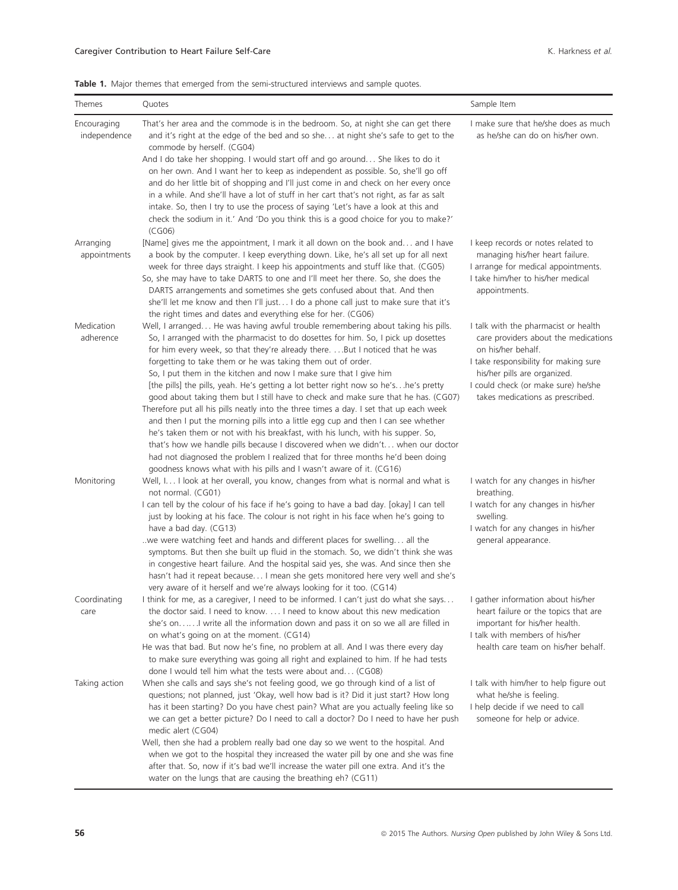# Table 1. Major themes that emerged from the semi-structured interviews and sample quotes.

| Themes                      | Quotes                                                                                                                                                                                                                                                                                                                                                                                                                                                                                                                                                                                                                                                                                  | Sample Item                                                                                                                                                                                                                                            |  |
|-----------------------------|-----------------------------------------------------------------------------------------------------------------------------------------------------------------------------------------------------------------------------------------------------------------------------------------------------------------------------------------------------------------------------------------------------------------------------------------------------------------------------------------------------------------------------------------------------------------------------------------------------------------------------------------------------------------------------------------|--------------------------------------------------------------------------------------------------------------------------------------------------------------------------------------------------------------------------------------------------------|--|
| Encouraging<br>independence | That's her area and the commode is in the bedroom. So, at night she can get there<br>and it's right at the edge of the bed and so she at night she's safe to get to the<br>commode by herself. (CG04)                                                                                                                                                                                                                                                                                                                                                                                                                                                                                   | I make sure that he/she does as much<br>as he/she can do on his/her own.                                                                                                                                                                               |  |
|                             | And I do take her shopping. I would start off and go around She likes to do it<br>on her own. And I want her to keep as independent as possible. So, she'll go off<br>and do her little bit of shopping and I'll just come in and check on her every once<br>in a while. And she'll have a lot of stuff in her cart that's not right, as far as salt<br>intake. So, then I try to use the process of saying 'Let's have a look at this and<br>check the sodium in it.' And 'Do you think this is a good choice for you to make?'<br>(CG06)                                                                                                                                              |                                                                                                                                                                                                                                                        |  |
| Arranging<br>appointments   | [Name] gives me the appointment, I mark it all down on the book and and I have<br>a book by the computer. I keep everything down. Like, he's all set up for all next<br>week for three days straight. I keep his appointments and stuff like that. (CG05)<br>So, she may have to take DARTS to one and I'll meet her there. So, she does the<br>DARTS arrangements and sometimes she gets confused about that. And then<br>she'll let me know and then I'll just I do a phone call just to make sure that it's<br>the right times and dates and everything else for her. (CG06)                                                                                                         | I keep records or notes related to<br>managing his/her heart failure.<br>I arrange for medical appointments.<br>I take him/her to his/her medical<br>appointments.                                                                                     |  |
| Medication<br>adherence     | Well, I arranged He was having awful trouble remembering about taking his pills.<br>So, I arranged with the pharmacist to do dosettes for him. So, I pick up dosettes<br>for him every week, so that they're already there.  But I noticed that he was<br>forgetting to take them or he was taking them out of order.<br>So, I put them in the kitchen and now I make sure that I give him                                                                                                                                                                                                                                                                                              | I talk with the pharmacist or health<br>care providers about the medications<br>on his/her behalf.<br>I take responsibility for making sure<br>his/her pills are organized.<br>I could check (or make sure) he/she<br>takes medications as prescribed. |  |
|                             | [the pills] the pills, yeah. He's getting a lot better right now so he's he's pretty<br>good about taking them but I still have to check and make sure that he has. (CG07)<br>Therefore put all his pills neatly into the three times a day. I set that up each week<br>and then I put the morning pills into a little egg cup and then I can see whether<br>he's taken them or not with his breakfast, with his lunch, with his supper. So,<br>that's how we handle pills because I discovered when we didn't when our doctor<br>had not diagnosed the problem I realized that for three months he'd been doing<br>goodness knows what with his pills and I wasn't aware of it. (CG16) |                                                                                                                                                                                                                                                        |  |
| Monitoring                  | Well, I I look at her overall, you know, changes from what is normal and what is<br>not normal. (CG01)<br>I can tell by the colour of his face if he's going to have a bad day. [okay] I can tell<br>just by looking at his face. The colour is not right in his face when he's going to                                                                                                                                                                                                                                                                                                                                                                                                | I watch for any changes in his/her<br>breathing.<br>I watch for any changes in his/her<br>swelling.<br>I watch for any changes in his/her<br>general appearance.                                                                                       |  |
|                             | have a bad day. (CG13)<br>we were watching feet and hands and different places for swelling all the<br>symptoms. But then she built up fluid in the stomach. So, we didn't think she was<br>in congestive heart failure. And the hospital said yes, she was. And since then she<br>hasn't had it repeat because I mean she gets monitored here very well and she's<br>very aware of it herself and we're always looking for it too. (CG14)                                                                                                                                                                                                                                              |                                                                                                                                                                                                                                                        |  |
| Coordinating<br>care        | I think for me, as a caregiver, I need to be informed. I can't just do what she says<br>the doctor said. I need to know.  I need to know about this new medication<br>she's onI write all the information down and pass it on so we all are filled in<br>on what's going on at the moment. (CG14)<br>He was that bad. But now he's fine, no problem at all. And I was there every day<br>to make sure everything was going all right and explained to him. If he had tests<br>done I would tell him what the tests were about and (CG08)                                                                                                                                                | I gather information about his/her<br>heart failure or the topics that are<br>important for his/her health.<br>I talk with members of his/her<br>health care team on his/her behalf.                                                                   |  |
| Taking action               | When she calls and says she's not feeling good, we go through kind of a list of<br>questions; not planned, just 'Okay, well how bad is it? Did it just start? How long<br>has it been starting? Do you have chest pain? What are you actually feeling like so<br>we can get a better picture? Do I need to call a doctor? Do I need to have her push<br>medic alert (CG04)<br>Well, then she had a problem really bad one day so we went to the hospital. And<br>when we got to the hospital they increased the water pill by one and she was fine                                                                                                                                      | I talk with him/her to help figure out<br>what he/she is feeling.<br>I help decide if we need to call<br>someone for help or advice.                                                                                                                   |  |
|                             | after that. So, now if it's bad we'll increase the water pill one extra. And it's the<br>water on the lungs that are causing the breathing eh? (CG11)                                                                                                                                                                                                                                                                                                                                                                                                                                                                                                                                   |                                                                                                                                                                                                                                                        |  |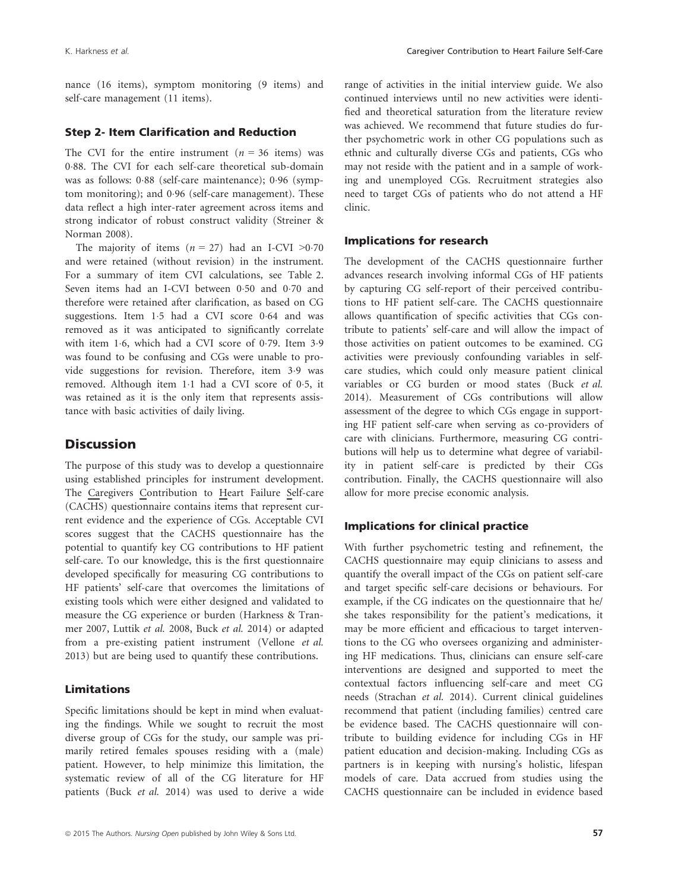nance (16 items), symptom monitoring (9 items) and self-care management (11 items).

# Step 2- Item Clarification and Reduction

The CVI for the entire instrument ( $n = 36$  items) was 0!88. The CVI for each self-care theoretical sub-domain was as follows: 0.88 (self-care maintenance); 0.96 (symptom monitoring); and 0.96 (self-care management). These data reflect a high inter-rater agreement across items and strong indicator of robust construct validity (Streiner & Norman 2008).

The majority of items  $(n = 27)$  had an I-CVI >0.70 and were retained (without revision) in the instrument. For a summary of item CVI calculations, see Table 2. Seven items had an I-CVI between 0.50 and 0.70 and therefore were retained after clarification, as based on CG suggestions. Item  $1.5$  had a CVI score  $0.64$  and was removed as it was anticipated to significantly correlate with item 1.6, which had a CVI score of 0.79. Item  $3.9$ was found to be confusing and CGs were unable to provide suggestions for revision. Therefore, item 3.9 was removed. Although item 1.1 had a CVI score of 0.5, it was retained as it is the only item that represents assistance with basic activities of daily living.

# **Discussion**

The purpose of this study was to develop a questionnaire using established principles for instrument development. The Caregivers Contribution to Heart Failure Self-care (CACHS) questionnaire contains items that represent current evidence and the experience of CGs. Acceptable CVI scores suggest that the CACHS questionnaire has the potential to quantify key CG contributions to HF patient self-care. To our knowledge, this is the first questionnaire developed specifically for measuring CG contributions to HF patients' self-care that overcomes the limitations of existing tools which were either designed and validated to measure the CG experience or burden (Harkness & Tranmer 2007, Luttik et al. 2008, Buck et al. 2014) or adapted from a pre-existing patient instrument (Vellone et al. 2013) but are being used to quantify these contributions.

#### Limitations

Specific limitations should be kept in mind when evaluating the findings. While we sought to recruit the most diverse group of CGs for the study, our sample was primarily retired females spouses residing with a (male) patient. However, to help minimize this limitation, the systematic review of all of the CG literature for HF patients (Buck et al. 2014) was used to derive a wide

range of activities in the initial interview guide. We also continued interviews until no new activities were identified and theoretical saturation from the literature review was achieved. We recommend that future studies do further psychometric work in other CG populations such as ethnic and culturally diverse CGs and patients, CGs who may not reside with the patient and in a sample of working and unemployed CGs. Recruitment strategies also need to target CGs of patients who do not attend a HF clinic.

## Implications for research

The development of the CACHS questionnaire further advances research involving informal CGs of HF patients by capturing CG self-report of their perceived contributions to HF patient self-care. The CACHS questionnaire allows quantification of specific activities that CGs contribute to patients' self-care and will allow the impact of those activities on patient outcomes to be examined. CG activities were previously confounding variables in selfcare studies, which could only measure patient clinical variables or CG burden or mood states (Buck et al. 2014). Measurement of CGs contributions will allow assessment of the degree to which CGs engage in supporting HF patient self-care when serving as co-providers of care with clinicians. Furthermore, measuring CG contributions will help us to determine what degree of variability in patient self-care is predicted by their CGs contribution. Finally, the CACHS questionnaire will also allow for more precise economic analysis.

# Implications for clinical practice

With further psychometric testing and refinement, the CACHS questionnaire may equip clinicians to assess and quantify the overall impact of the CGs on patient self-care and target specific self-care decisions or behaviours. For example, if the CG indicates on the questionnaire that he/ she takes responsibility for the patient's medications, it may be more efficient and efficacious to target interventions to the CG who oversees organizing and administering HF medications. Thus, clinicians can ensure self-care interventions are designed and supported to meet the contextual factors influencing self-care and meet CG needs (Strachan et al. 2014). Current clinical guidelines recommend that patient (including families) centred care be evidence based. The CACHS questionnaire will contribute to building evidence for including CGs in HF patient education and decision-making. Including CGs as partners is in keeping with nursing's holistic, lifespan models of care. Data accrued from studies using the CACHS questionnaire can be included in evidence based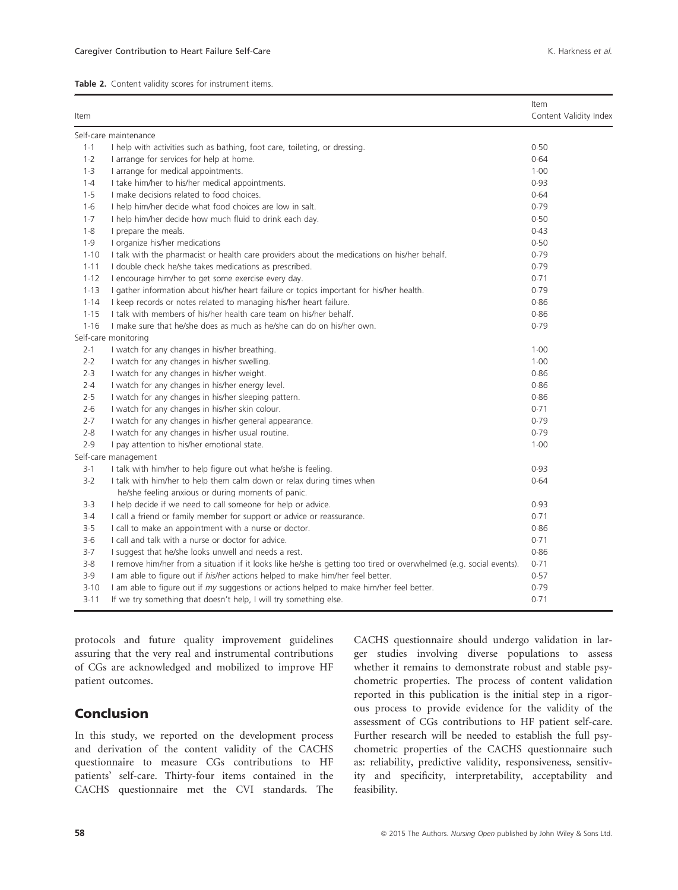| Item     |                                                                                                                     | Item<br>Content Validity Index |
|----------|---------------------------------------------------------------------------------------------------------------------|--------------------------------|
|          | Self-care maintenance                                                                                               |                                |
| $1 - 1$  | I help with activities such as bathing, foot care, toileting, or dressing.                                          | 0.50                           |
| $1 - 2$  | I arrange for services for help at home.                                                                            | 0.64                           |
| $1-3$    | I arrange for medical appointments.                                                                                 | 1.00                           |
| 1.4      | I take him/her to his/her medical appointments.                                                                     | 0.93                           |
| 1.5      | I make decisions related to food choices.                                                                           | 0.64                           |
| 1.6      | I help him/her decide what food choices are low in salt.                                                            | 0.79                           |
| 1.7      | I help him/her decide how much fluid to drink each day.                                                             | 0.50                           |
| 1.8      | I prepare the meals.                                                                                                | 0.43                           |
| 1.9      | I organize his/her medications                                                                                      | 0.50                           |
| $1 - 10$ | I talk with the pharmacist or health care providers about the medications on his/her behalf.                        | 0.79                           |
| $1 - 11$ | I double check he/she takes medications as prescribed.                                                              | 0.79                           |
| 1.12     | I encourage him/her to get some exercise every day.                                                                 | 0.71                           |
| 1.13     | I gather information about his/her heart failure or topics important for his/her health.                            | 0.79                           |
| 1.14     | I keep records or notes related to managing his/her heart failure.                                                  | 0.86                           |
| 1.15     | I talk with members of his/her health care team on his/her behalf.                                                  | 0.86                           |
| 1.16     | I make sure that he/she does as much as he/she can do on his/her own.                                               | 0.79                           |
|          | Self-care monitoring                                                                                                |                                |
| 2.1      | I watch for any changes in his/her breathing.                                                                       | 1.00                           |
| 2.2      | I watch for any changes in his/her swelling.                                                                        | 1.00                           |
| 2.3      | I watch for any changes in his/her weight.                                                                          | 0.86                           |
| 2.4      | I watch for any changes in his/her energy level.                                                                    | 0.86                           |
| 2.5      | I watch for any changes in his/her sleeping pattern.                                                                | 0.86                           |
| 2.6      | I watch for any changes in his/her skin colour.                                                                     | 0.71                           |
| 2.7      | I watch for any changes in his/her general appearance.                                                              | 0.79                           |
| 2.8      | I watch for any changes in his/her usual routine.                                                                   | 0.79                           |
| 2.9      | I pay attention to his/her emotional state.                                                                         | 1.00                           |
|          | Self-care management                                                                                                |                                |
| $3-1$    | I talk with him/her to help figure out what he/she is feeling.                                                      | 0.93                           |
| 3.2      | I talk with him/her to help them calm down or relax during times when                                               | 0.64                           |
|          | he/she feeling anxious or during moments of panic.                                                                  |                                |
| 3.3      | I help decide if we need to call someone for help or advice.                                                        | 0.93                           |
| 3.4      | I call a friend or family member for support or advice or reassurance.                                              | 0.71                           |
| 3.5      | I call to make an appointment with a nurse or doctor.                                                               | 0.86                           |
| 3.6      | I call and talk with a nurse or doctor for advice.                                                                  | 0.71                           |
| 3.7      | I suggest that he/she looks unwell and needs a rest.                                                                | 0.86                           |
| 3.8      | I remove him/her from a situation if it looks like he/she is getting too tired or overwhelmed (e.g. social events). | 0.71                           |
| 3.9      | I am able to figure out if his/her actions helped to make him/her feel better.                                      | 0.57                           |
| 3.10     | I am able to figure out if my suggestions or actions helped to make him/her feel better.                            | 0.79                           |
| 3.11     | If we try something that doesn't help, I will try something else.                                                   | 0.71                           |

protocols and future quality improvement guidelines assuring that the very real and instrumental contributions of CGs are acknowledged and mobilized to improve HF patient outcomes.

# Conclusion

In this study, we reported on the development process and derivation of the content validity of the CACHS questionnaire to measure CGs contributions to HF patients' self-care. Thirty-four items contained in the CACHS questionnaire met the CVI standards. The CACHS questionnaire should undergo validation in larger studies involving diverse populations to assess whether it remains to demonstrate robust and stable psychometric properties. The process of content validation reported in this publication is the initial step in a rigorous process to provide evidence for the validity of the assessment of CGs contributions to HF patient self-care. Further research will be needed to establish the full psychometric properties of the CACHS questionnaire such as: reliability, predictive validity, responsiveness, sensitivity and specificity, interpretability, acceptability and feasibility.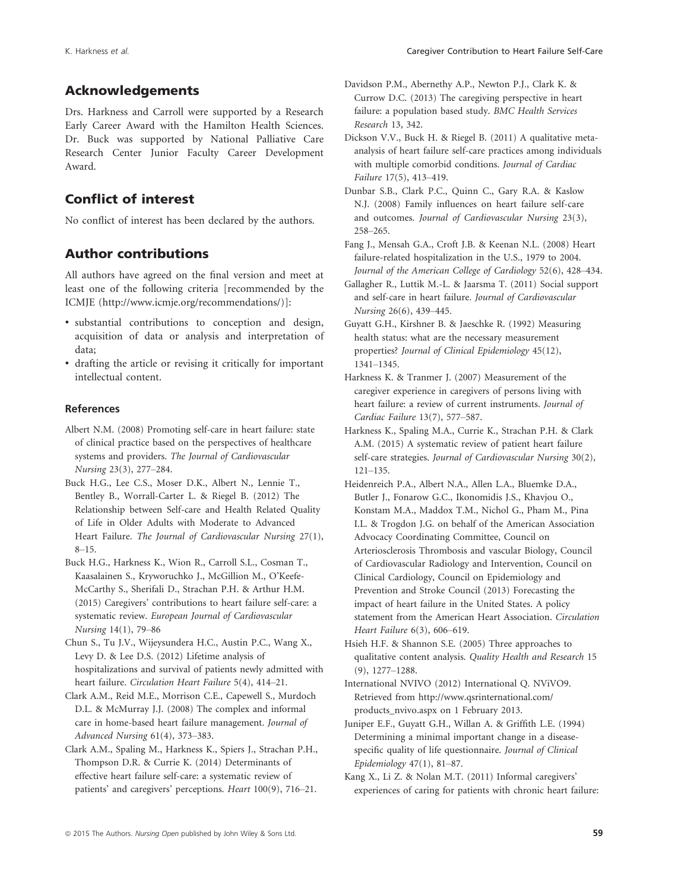# Acknowledgements

Drs. Harkness and Carroll were supported by a Research Early Career Award with the Hamilton Health Sciences. Dr. Buck was supported by National Palliative Care Research Center Junior Faculty Career Development Award.

# Conflict of interest

No conflict of interest has been declared by the authors.

# Author contributions

All authors have agreed on the final version and meet at least one of the following criteria [recommended by the ICMJE [\(http://www.icmje.org/recommendations/\)](http://www.icmje.org/recommendations/)]:

- substantial contributions to conception and design, acquisition of data or analysis and interpretation of data;
- drafting the article or revising it critically for important intellectual content.

#### References

- Albert N.M. (2008) Promoting self-care in heart failure: state of clinical practice based on the perspectives of healthcare systems and providers. The Journal of Cardiovascular Nursing 23(3), 277–284.
- Buck H.G., Lee C.S., Moser D.K., Albert N., Lennie T., Bentley B., Worrall-Carter L. & Riegel B. (2012) The Relationship between Self-care and Health Related Quality of Life in Older Adults with Moderate to Advanced Heart Failure. The Journal of Cardiovascular Nursing 27(1), 8–15.
- Buck H.G., Harkness K., Wion R., Carroll S.L., Cosman T., Kaasalainen S., Kryworuchko J., McGillion M., O'Keefe-McCarthy S., Sherifali D., Strachan P.H. & Arthur H.M. (2015) Caregivers' contributions to heart failure self-care: a systematic review. European Journal of Cardiovascular Nursing 14(1), 79–86

Chun S., Tu J.V., Wijeysundera H.C., Austin P.C., Wang X., Levy D. & Lee D.S. (2012) Lifetime analysis of hospitalizations and survival of patients newly admitted with heart failure. Circulation Heart Failure 5(4), 414-21.

Clark A.M., Reid M.E., Morrison C.E., Capewell S., Murdoch D.L. & McMurray J.J. (2008) The complex and informal care in home-based heart failure management. Journal of Advanced Nursing 61(4), 373–383.

Clark A.M., Spaling M., Harkness K., Spiers J., Strachan P.H., Thompson D.R. & Currie K. (2014) Determinants of effective heart failure self-care: a systematic review of patients' and caregivers' perceptions. Heart 100(9), 716–21.

- Davidson P.M., Abernethy A.P., Newton P.J., Clark K. & Currow D.C. (2013) The caregiving perspective in heart failure: a population based study. BMC Health Services Research 13, 342.
- Dickson V.V., Buck H. & Riegel B. (2011) A qualitative metaanalysis of heart failure self-care practices among individuals with multiple comorbid conditions. Journal of Cardiac Failure 17(5), 413–419.

Dunbar S.B., Clark P.C., Quinn C., Gary R.A. & Kaslow N.J. (2008) Family influences on heart failure self-care and outcomes. Journal of Cardiovascular Nursing 23(3), 258–265.

Fang J., Mensah G.A., Croft J.B. & Keenan N.L. (2008) Heart failure-related hospitalization in the U.S., 1979 to 2004. Journal of the American College of Cardiology 52(6), 428–434.

Gallagher R., Luttik M.-L. & Jaarsma T. (2011) Social support and self-care in heart failure. Journal of Cardiovascular Nursing 26(6), 439–445.

- Guyatt G.H., Kirshner B. & Jaeschke R. (1992) Measuring health status: what are the necessary measurement properties? Journal of Clinical Epidemiology 45(12), 1341–1345.
- Harkness K. & Tranmer J. (2007) Measurement of the caregiver experience in caregivers of persons living with heart failure: a review of current instruments. Journal of Cardiac Failure 13(7), 577–587.
- Harkness K., Spaling M.A., Currie K., Strachan P.H. & Clark A.M. (2015) A systematic review of patient heart failure self-care strategies. Journal of Cardiovascular Nursing 30(2), 121–135.
- Heidenreich P.A., Albert N.A., Allen L.A., Bluemke D.A., Butler J., Fonarow G.C., Ikonomidis J.S., Khavjou O., Konstam M.A., Maddox T.M., Nichol G., Pham M., Pina I.L. & Trogdon J.G. on behalf of the American Association Advocacy Coordinating Committee, Council on Arteriosclerosis Thrombosis and vascular Biology, Council of Cardiovascular Radiology and Intervention, Council on Clinical Cardiology, Council on Epidemiology and Prevention and Stroke Council (2013) Forecasting the impact of heart failure in the United States. A policy statement from the American Heart Association. Circulation Heart Failure 6(3), 606–619.
- Hsieh H.F. & Shannon S.E. (2005) Three approaches to qualitative content analysis. Quality Health and Research 15 (9), 1277–1288.

International NVIVO (2012) International Q. NViVO9. Retrieved from [http://www.qsrinternational.com/](http://www.qsrinternational.com/products_nvivo.aspx) [products\\_nvivo.aspx](http://www.qsrinternational.com/products_nvivo.aspx) on 1 February 2013.

Juniper E.F., Guyatt G.H., Willan A. & Griffith L.E. (1994) Determining a minimal important change in a diseasespecific quality of life questionnaire. Journal of Clinical Epidemiology 47(1), 81–87.

Kang X., Li Z. & Nolan M.T. (2011) Informal caregivers' experiences of caring for patients with chronic heart failure: